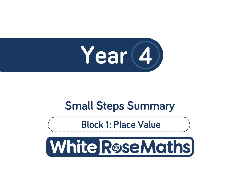

# **Small Steps Summary**

**Block 1: Place Value** 

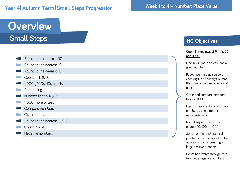### Year 4 | Autumn Term | Small Steps Progression

## **Overview Small Steps**

- Roman numerals to 100 Round to the nearest 10 Round to the nearest 100 Count in 1,000s 1,000s, 100s, 10s and 1s Partitioning Number line to 10,000 1,000 more or less Compare numbers Order numbers Round to the nearest 1,000
	- Count in 25s
	- Negative numbers

#### **NC Objectives**

#### Count in multiples of 6, 7, 9. 25 and 1000.

Find 1000 more or less than a given number.

Recognise the place value of each digit in a four digit number (thousands, hundreds, tens and ones)

Order and compare numbers beyond 1000

Identify, represent and estimate numbers using different representations.

Round any number to the nearest 10, 100 or 1000

Solve number and practical problems that involve all of the above and with increasingly large positive numbers.

Count backwards through zero to include negative numbers.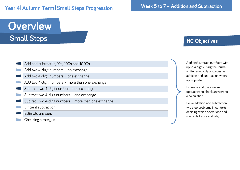### Year 4 | Autumn Term | Small Steps Progression

**Overview Small Steps** 

#### Add and subtract 1s, 10s, 100s and 1000s

- Add two 4 -digit numbers no exchange
- Add two 4 -digit numbers one exchange
- Add two 4 -digit numbers more than one exchange
- Subtract two 4 -digit numbers no exchange
- Subtract two 4 -digit numbers one exchange
- Subtract two 4 -digit numbers more than one exchange
- Efficient subtraction
- Estimate answers
- Checking strategies

## **NC Objectives**

Add and subtract numbers with up to 4 digits using the formal written methods of columnar addition and subtraction where appropriate.

Estimate and use inverse operations to check answers to a calculation.

Solve addition and subtraction two step problems in contexts, deciding which operations and methods to use and why.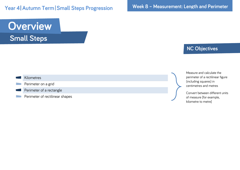Year 4 | Autumn Term | Small Steps Progression

**Overview Small Steps** 

#### **NC Objectives**

#### Kilometres Perimeter on a grid

#### Perimeter of a rectangle

Perimeter of rectilinear shapes

Measure and calculate the perimeter of a rectilinear figure (including squares) in centimetres and metres

Convert between different units of measure [for example, kilometre to metre]